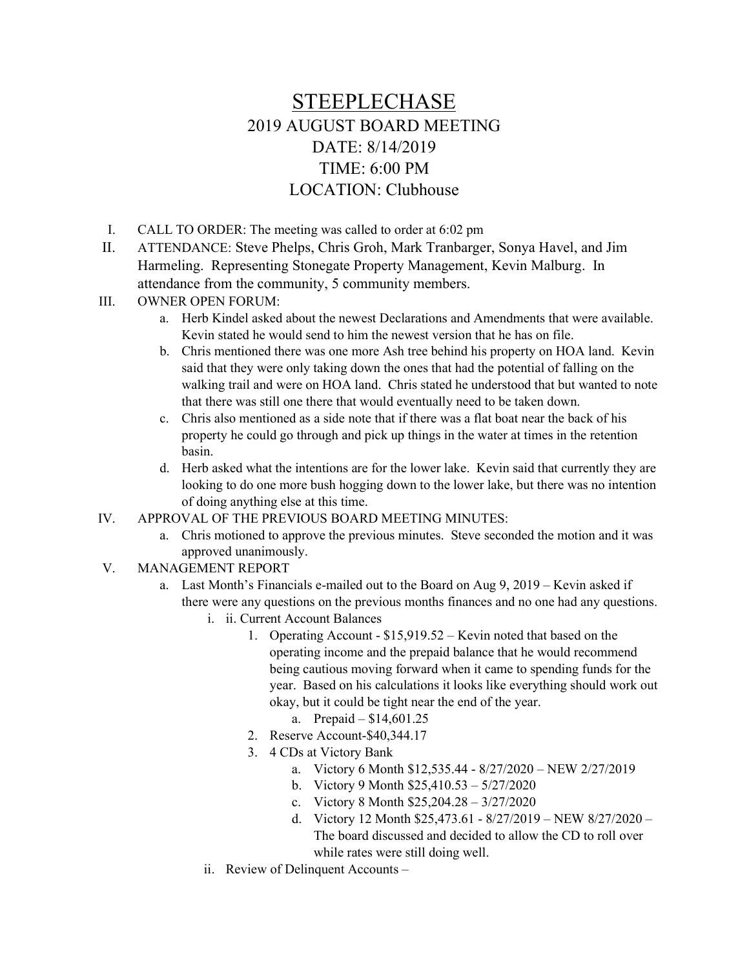## STEEPLECHASE 2019 AUGUST BOARD MEETING DATE: 8/14/2019 TIME: 6:00 PM LOCATION: Clubhouse

- I. CALL TO ORDER: The meeting was called to order at 6:02 pm
- II. ATTENDANCE: Steve Phelps, Chris Groh, Mark Tranbarger, Sonya Havel, and Jim Harmeling. Representing Stonegate Property Management, Kevin Malburg. In attendance from the community, 5 community members.
- III. OWNER OPEN FORUM:
	- a. Herb Kindel asked about the newest Declarations and Amendments that were available. Kevin stated he would send to him the newest version that he has on file.
	- b. Chris mentioned there was one more Ash tree behind his property on HOA land. Kevin said that they were only taking down the ones that had the potential of falling on the walking trail and were on HOA land. Chris stated he understood that but wanted to note that there was still one there that would eventually need to be taken down.
	- c. Chris also mentioned as a side note that if there was a flat boat near the back of his property he could go through and pick up things in the water at times in the retention basin.
	- d. Herb asked what the intentions are for the lower lake. Kevin said that currently they are looking to do one more bush hogging down to the lower lake, but there was no intention of doing anything else at this time.
- IV. APPROVAL OF THE PREVIOUS BOARD MEETING MINUTES:
	- a. Chris motioned to approve the previous minutes. Steve seconded the motion and it was approved unanimously.
- V. MANAGEMENT REPORT
	- a. Last Month's Financials e-mailed out to the Board on Aug 9, 2019 Kevin asked if there were any questions on the previous months finances and no one had any questions.
		- i. ii. Current Account Balances
			- 1. Operating Account \$15,919.52 Kevin noted that based on the operating income and the prepaid balance that he would recommend being cautious moving forward when it came to spending funds for the year. Based on his calculations it looks like everything should work out okay, but it could be tight near the end of the year.
				- a. Prepaid \$14,601.25
			- 2. Reserve Account-\$40,344.17
			- 3. 4 CDs at Victory Bank
				- a. Victory 6 Month \$12,535.44 8/27/2020 NEW 2/27/2019
				- b. Victory 9 Month \$25,410.53 5/27/2020
				- c. Victory 8 Month \$25,204.28 3/27/2020
				- d. Victory 12 Month \$25,473.61 8/27/2019 NEW 8/27/2020 The board discussed and decided to allow the CD to roll over while rates were still doing well.
		- ii. Review of Delinquent Accounts –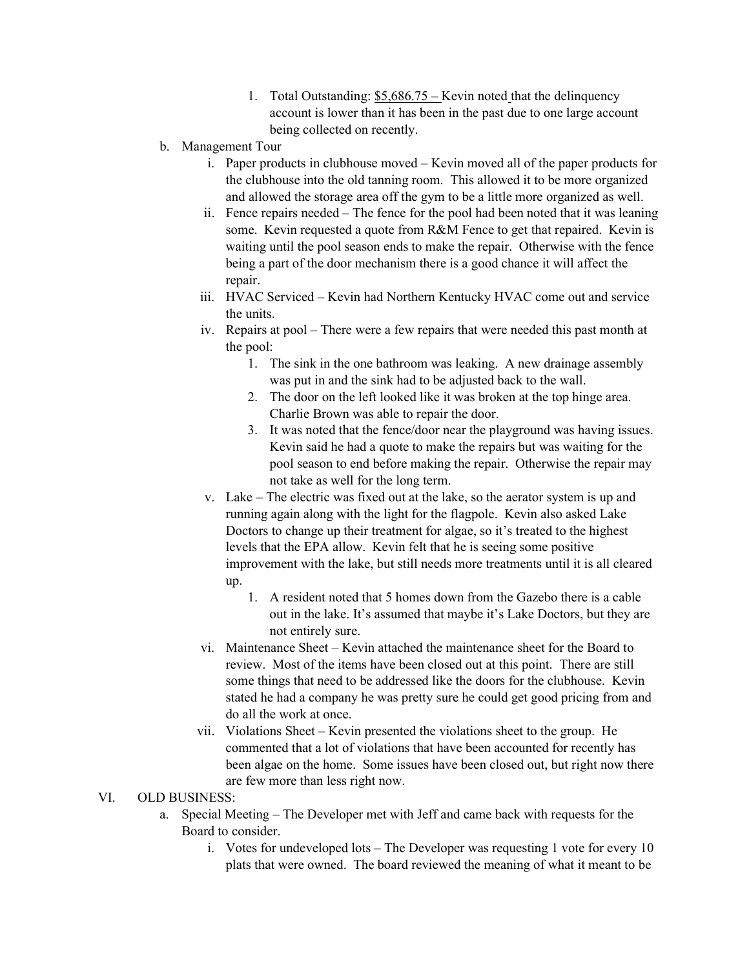- 1. Total Outstanding: \$5,686.75 Kevin noted that the delinquency account is lower than it has been in the past due to one large account being collected on recently.
- b. Management Tour
	- i. Paper products in clubhouse moved Kevin moved all of the paper products for the clubhouse into the old tanning room. This allowed it to be more organized and allowed the storage area off the gym to be a little more organized as well.
	- ii. Fence repairs needed The fence for the pool had been noted that it was leaning some. Kevin requested a quote from R&M Fence to get that repaired. Kevin is waiting until the pool season ends to make the repair. Otherwise with the fence being a part of the door mechanism there is a good chance it will affect the repair.
	- iii. HVAC Serviced Kevin had Northern Kentucky HVAC come out and service the units.
	- iv. Repairs at pool There were a few repairs that were needed this past month at the pool:
		- 1. The sink in the one bathroom was leaking. A new drainage assembly was put in and the sink had to be adjusted back to the wall.
		- 2. The door on the left looked like it was broken at the top hinge area. Charlie Brown was able to repair the door.
		- 3. It was noted that the fence/door near the playground was having issues. Kevin said he had a quote to make the repairs but was waiting for the pool season to end before making the repair. Otherwise the repair may not take as well for the long term.
	- v. Lake The electric was fixed out at the lake, so the aerator system is up and running again along with the light for the flagpole. Kevin also asked Lake Doctors to change up their treatment for algae, so it's treated to the highest levels that the EPA allow. Kevin felt that he is seeing some positive improvement with the lake, but still needs more treatments until it is all cleared up.
		- 1. A resident noted that 5 homes down from the Gazebo there is a cable out in the lake. It's assumed that maybe it's Lake Doctors, but they are not entirely sure.
	- vi. Maintenance Sheet Kevin attached the maintenance sheet for the Board to review. Most of the items have been closed out at this point. There are still some things that need to be addressed like the doors for the clubhouse. Kevin stated he had a company he was pretty sure he could get good pricing from and do all the work at once.
	- vii. Violations Sheet Kevin presented the violations sheet to the group. He commented that a lot of violations that have been accounted for recently has been algae on the home. Some issues have been closed out, but right now there are few more than less right now.

## VI. OLD BUSINESS:

- a. Special Meeting The Developer met with Jeff and came back with requests for the Board to consider.
	- i. Votes for undeveloped lots The Developer was requesting 1 vote for every 10 plats that were owned. The board reviewed the meaning of what it meant to be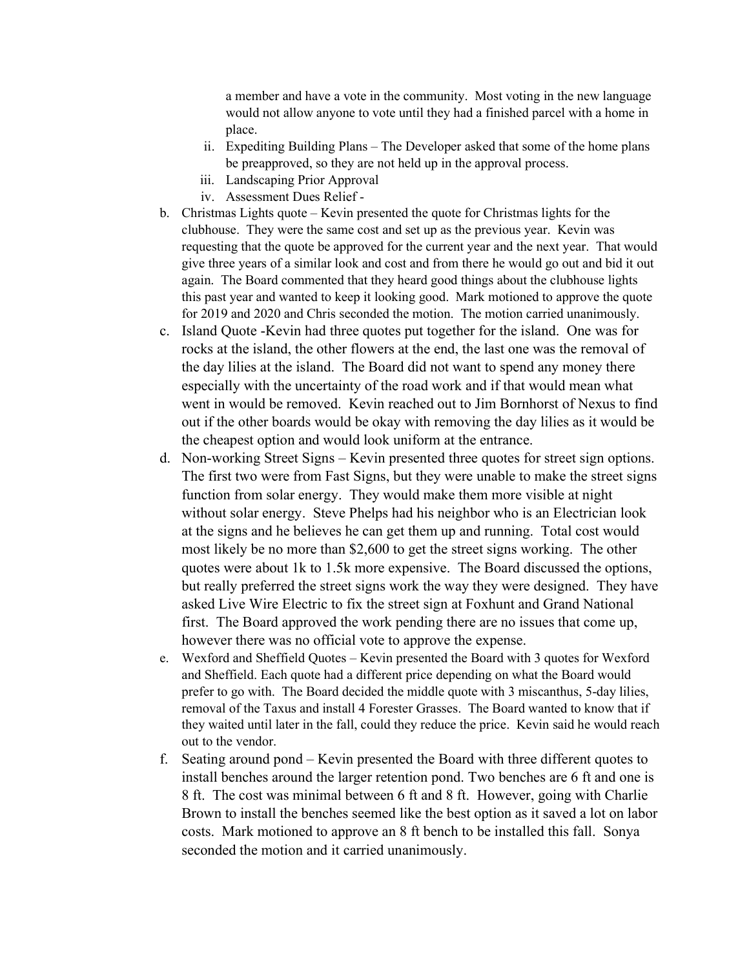a member and have a vote in the community. Most voting in the new language would not allow anyone to vote until they had a finished parcel with a home in place.

- ii. Expediting Building Plans The Developer asked that some of the home plans be preapproved, so they are not held up in the approval process.
- iii. Landscaping Prior Approval
- iv. Assessment Dues Relief -
- b. Christmas Lights quote Kevin presented the quote for Christmas lights for the clubhouse. They were the same cost and set up as the previous year. Kevin was requesting that the quote be approved for the current year and the next year. That would give three years of a similar look and cost and from there he would go out and bid it out again. The Board commented that they heard good things about the clubhouse lights this past year and wanted to keep it looking good. Mark motioned to approve the quote for 2019 and 2020 and Chris seconded the motion. The motion carried unanimously.
- c. Island Quote -Kevin had three quotes put together for the island. One was for rocks at the island, the other flowers at the end, the last one was the removal of the day lilies at the island. The Board did not want to spend any money there especially with the uncertainty of the road work and if that would mean what went in would be removed. Kevin reached out to Jim Bornhorst of Nexus to find out if the other boards would be okay with removing the day lilies as it would be the cheapest option and would look uniform at the entrance.
- d. Non-working Street Signs Kevin presented three quotes for street sign options. The first two were from Fast Signs, but they were unable to make the street signs function from solar energy. They would make them more visible at night without solar energy. Steve Phelps had his neighbor who is an Electrician look at the signs and he believes he can get them up and running. Total cost would most likely be no more than \$2,600 to get the street signs working. The other quotes were about 1k to 1.5k more expensive. The Board discussed the options, but really preferred the street signs work the way they were designed. They have asked Live Wire Electric to fix the street sign at Foxhunt and Grand National first. The Board approved the work pending there are no issues that come up, however there was no official vote to approve the expense.
- e. Wexford and Sheffield Quotes Kevin presented the Board with 3 quotes for Wexford and Sheffield. Each quote had a different price depending on what the Board would prefer to go with. The Board decided the middle quote with 3 miscanthus, 5-day lilies, removal of the Taxus and install 4 Forester Grasses. The Board wanted to know that if they waited until later in the fall, could they reduce the price. Kevin said he would reach out to the vendor.
- f. Seating around pond Kevin presented the Board with three different quotes to install benches around the larger retention pond. Two benches are 6 ft and one is 8 ft. The cost was minimal between 6 ft and 8 ft. However, going with Charlie Brown to install the benches seemed like the best option as it saved a lot on labor costs. Mark motioned to approve an 8 ft bench to be installed this fall. Sonya seconded the motion and it carried unanimously.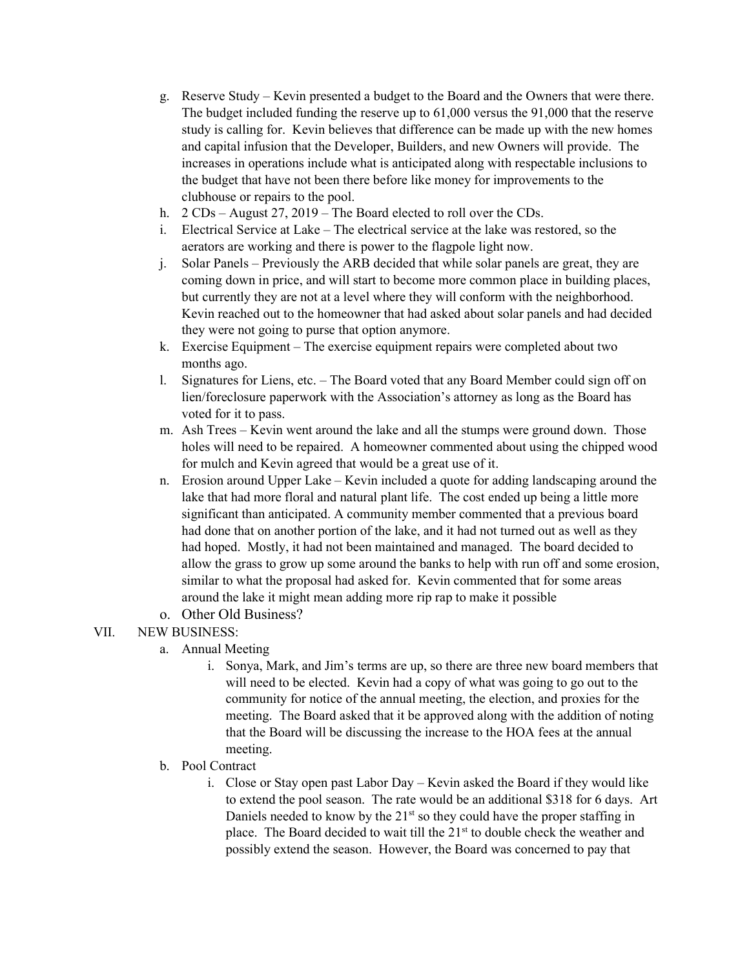- g. Reserve Study Kevin presented a budget to the Board and the Owners that were there. The budget included funding the reserve up to 61,000 versus the 91,000 that the reserve study is calling for. Kevin believes that difference can be made up with the new homes and capital infusion that the Developer, Builders, and new Owners will provide. The increases in operations include what is anticipated along with respectable inclusions to the budget that have not been there before like money for improvements to the clubhouse or repairs to the pool.
- h. 2 CDs August 27, 2019 The Board elected to roll over the CDs.
- i. Electrical Service at Lake The electrical service at the lake was restored, so the aerators are working and there is power to the flagpole light now.
- j. Solar Panels Previously the ARB decided that while solar panels are great, they are coming down in price, and will start to become more common place in building places, but currently they are not at a level where they will conform with the neighborhood. Kevin reached out to the homeowner that had asked about solar panels and had decided they were not going to purse that option anymore.
- k. Exercise Equipment The exercise equipment repairs were completed about two months ago.
- l. Signatures for Liens, etc. The Board voted that any Board Member could sign off on lien/foreclosure paperwork with the Association's attorney as long as the Board has voted for it to pass.
- m. Ash Trees Kevin went around the lake and all the stumps were ground down. Those holes will need to be repaired. A homeowner commented about using the chipped wood for mulch and Kevin agreed that would be a great use of it.
- n. Erosion around Upper Lake Kevin included a quote for adding landscaping around the lake that had more floral and natural plant life. The cost ended up being a little more significant than anticipated. A community member commented that a previous board had done that on another portion of the lake, and it had not turned out as well as they had hoped. Mostly, it had not been maintained and managed. The board decided to allow the grass to grow up some around the banks to help with run off and some erosion, similar to what the proposal had asked for. Kevin commented that for some areas around the lake it might mean adding more rip rap to make it possible
- o. Other Old Business?

## VII. NEW BUSINESS:

- a. Annual Meeting
	- i. Sonya, Mark, and Jim's terms are up, so there are three new board members that will need to be elected. Kevin had a copy of what was going to go out to the community for notice of the annual meeting, the election, and proxies for the meeting. The Board asked that it be approved along with the addition of noting that the Board will be discussing the increase to the HOA fees at the annual meeting.
- b. Pool Contract
	- i. Close or Stay open past Labor Day Kevin asked the Board if they would like to extend the pool season. The rate would be an additional \$318 for 6 days. Art Daniels needed to know by the  $21<sup>st</sup>$  so they could have the proper staffing in place. The Board decided to wait till the 21<sup>st</sup> to double check the weather and possibly extend the season. However, the Board was concerned to pay that